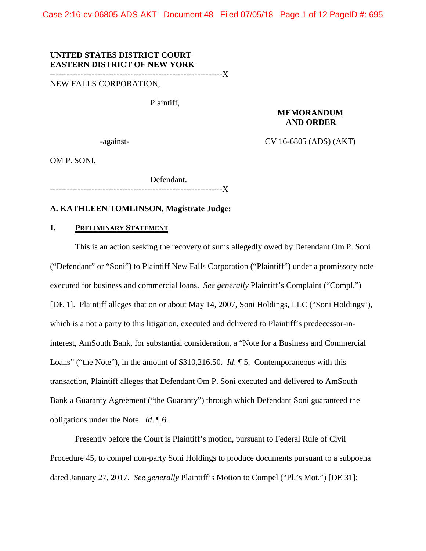Case 2:16-cv-06805-ADS-AKT Document 48 Filed 07/05/18 Page 1 of 12 PageID #: 695

### **UNITED STATES DISTRICT COURT EASTERN DISTRICT OF NEW YORK**

--------------------------------------------------------------X

NEW FALLS CORPORATION,

Plaintiff,

## **MEMORANDUM AND ORDER**

-against- CV 16-6805 (ADS) (AKT)

OM P. SONI,

Defendant. --------------------------------------------------------------X

### **A. KATHLEEN TOMLINSON, Magistrate Judge:**

### **I. PRELIMINARY STATEMENT**

This is an action seeking the recovery of sums allegedly owed by Defendant Om P. Soni ("Defendant" or "Soni") to Plaintiff New Falls Corporation ("Plaintiff") under a promissory note executed for business and commercial loans. *See generally Plaintiff's Complaint* ("Compl.") [DE 1]. Plaintiff alleges that on or about May 14, 2007, Soni Holdings, LLC ("Soni Holdings"), which is a not a party to this litigation, executed and delivered to Plaintiff's predecessor-ininterest, AmSouth Bank, for substantial consideration, a "Note for a Business and Commercial Loans" ("the Note"), in the amount of \$310,216.50. *Id*. ¶ 5. Contemporaneous with this transaction, Plaintiff alleges that Defendant Om P. Soni executed and delivered to AmSouth Bank a Guaranty Agreement ("the Guaranty") through which Defendant Soni guaranteed the obligations under the Note. *Id*. ¶ 6.

Presently before the Court is Plaintiff's motion, pursuant to Federal Rule of Civil Procedure 45, to compel non-party Soni Holdings to produce documents pursuant to a subpoena dated January 27, 2017. *See generally* Plaintiff's Motion to Compel ("Pl.'s Mot.") [DE 31];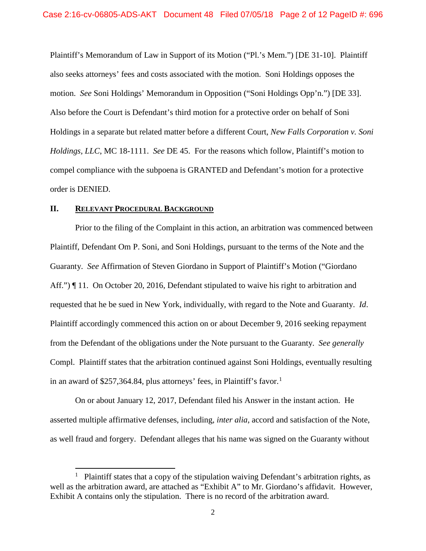Plaintiff's Memorandum of Law in Support of its Motion ("Pl.'s Mem.") [DE 31-10]. Plaintiff also seeks attorneys' fees and costs associated with the motion. Soni Holdings opposes the motion. *See* Soni Holdings' Memorandum in Opposition ("Soni Holdings Opp'n.") [DE 33]. Also before the Court is Defendant's third motion for a protective order on behalf of Soni Holdings in a separate but related matter before a different Court, *New Falls Corporation v. Soni Holdings, LLC*, MC 18-1111. *See* DE 45. For the reasons which follow, Plaintiff's motion to compel compliance with the subpoena is GRANTED and Defendant's motion for a protective order is DENIED.

### **II. RELEVANT PROCEDURAL BACKGROUND**

 $\overline{\phantom{a}}$ 

Prior to the filing of the Complaint in this action, an arbitration was commenced between Plaintiff, Defendant Om P. Soni, and Soni Holdings, pursuant to the terms of the Note and the Guaranty. *See* Affirmation of Steven Giordano in Support of Plaintiff's Motion ("Giordano Aff.") If 11. On October 20, 2016, Defendant stipulated to waive his right to arbitration and requested that he be sued in New York, individually, with regard to the Note and Guaranty. *Id*. Plaintiff accordingly commenced this action on or about December 9, 2016 seeking repayment from the Defendant of the obligations under the Note pursuant to the Guaranty. *See generally* Compl. Plaintiff states that the arbitration continued against Soni Holdings, eventually resulting in an award of \$257,364.84, plus attorneys' fees, in Plaintiff's favor.<sup>[1](#page-1-0)</sup>

On or about January 12, 2017, Defendant filed his Answer in the instant action. He asserted multiple affirmative defenses, including, *inter alia*, accord and satisfaction of the Note, as well fraud and forgery. Defendant alleges that his name was signed on the Guaranty without

<span id="page-1-0"></span><sup>1</sup> Plaintiff states that a copy of the stipulation waiving Defendant's arbitration rights, as well as the arbitration award, are attached as "Exhibit A" to Mr. Giordano's affidavit. However, Exhibit A contains only the stipulation. There is no record of the arbitration award.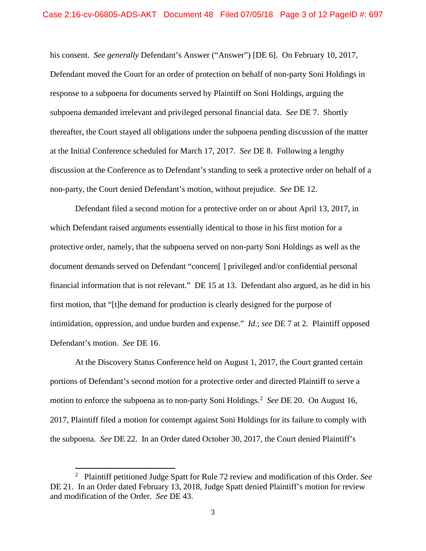his consent. *See generally* Defendant's Answer ("Answer") [DE 6]. On February 10, 2017, Defendant moved the Court for an order of protection on behalf of non-party Soni Holdings in response to a subpoena for documents served by Plaintiff on Soni Holdings, arguing the subpoena demanded irrelevant and privileged personal financial data. *See* DE 7. Shortly thereafter, the Court stayed all obligations under the subpoena pending discussion of the matter at the Initial Conference scheduled for March 17, 2017. *See* DE 8. Following a lengthy discussion at the Conference as to Defendant's standing to seek a protective order on behalf of a non-party, the Court denied Defendant's motion, without prejudice. *See* DE 12.

Defendant filed a second motion for a protective order on or about April 13, 2017, in which Defendant raised arguments essentially identical to those in his first motion for a protective order, namely, that the subpoena served on non-party Soni Holdings as well as the document demands served on Defendant "concern[ ] privileged and/or confidential personal financial information that is not relevant." DE 15 at 13. Defendant also argued, as he did in his first motion, that "[t]he demand for production is clearly designed for the purpose of intimidation, oppression, and undue burden and expense." *Id*.; *see* DE 7 at 2. Plaintiff opposed Defendant's motion. *See* DE 16.

At the Discovery Status Conference held on August 1, 2017, the Court granted certain portions of Defendant's second motion for a protective order and directed Plaintiff to serve a motion to enforce the subpoena as to non-party Soni Holdings.<sup>[2](#page-2-0)</sup> See DE 20. On August 16, 2017, Plaintiff filed a motion for contempt against Soni Holdings for its failure to comply with the subpoena. *See* DE 22. In an Order dated October 30, 2017, the Court denied Plaintiff's

 $\overline{\phantom{a}}$ 

<span id="page-2-0"></span><sup>2</sup> Plaintiff petitioned Judge Spatt for Rule 72 review and modification of this Order. *See* DE 21. In an Order dated February 13, 2018, Judge Spatt denied Plaintiff's motion for review and modification of the Order. *See* DE 43.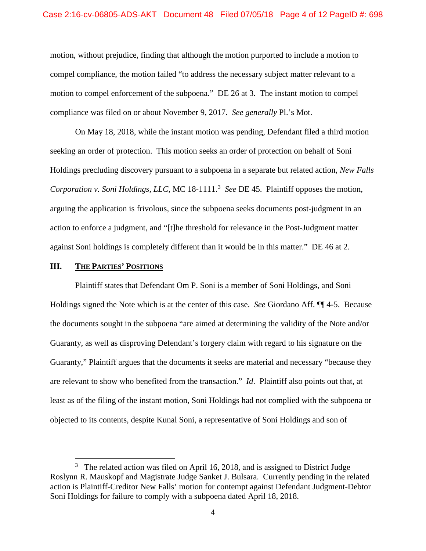motion, without prejudice, finding that although the motion purported to include a motion to compel compliance, the motion failed "to address the necessary subject matter relevant to a motion to compel enforcement of the subpoena." DE 26 at 3. The instant motion to compel compliance was filed on or about November 9, 2017. *See generally* Pl.'s Mot.

On May 18, 2018, while the instant motion was pending, Defendant filed a third motion seeking an order of protection. This motion seeks an order of protection on behalf of Soni Holdings precluding discovery pursuant to a subpoena in a separate but related action, *New Falls*  Corporation v. Soni Holdings, LLC, MC 18-1111.<sup>[3](#page-3-0)</sup> See DE 45. Plaintiff opposes the motion, arguing the application is frivolous, since the subpoena seeks documents post-judgment in an action to enforce a judgment, and "[t]he threshold for relevance in the Post-Judgment matter against Soni holdings is completely different than it would be in this matter." DE 46 at 2.

# **III. THE PARTIES' POSITIONS**

 $\overline{\phantom{a}}$ 

Plaintiff states that Defendant Om P. Soni is a member of Soni Holdings, and Soni Holdings signed the Note which is at the center of this case. *See* Giordano Aff. ¶¶ 4-5. Because the documents sought in the subpoena "are aimed at determining the validity of the Note and/or Guaranty, as well as disproving Defendant's forgery claim with regard to his signature on the Guaranty," Plaintiff argues that the documents it seeks are material and necessary "because they are relevant to show who benefited from the transaction." *Id*. Plaintiff also points out that, at least as of the filing of the instant motion, Soni Holdings had not complied with the subpoena or objected to its contents, despite Kunal Soni, a representative of Soni Holdings and son of

<span id="page-3-0"></span> $3$  The related action was filed on April 16, 2018, and is assigned to District Judge Roslynn R. Mauskopf and Magistrate Judge Sanket J. Bulsara. Currently pending in the related action is Plaintiff-Creditor New Falls' motion for contempt against Defendant Judgment-Debtor Soni Holdings for failure to comply with a subpoena dated April 18, 2018.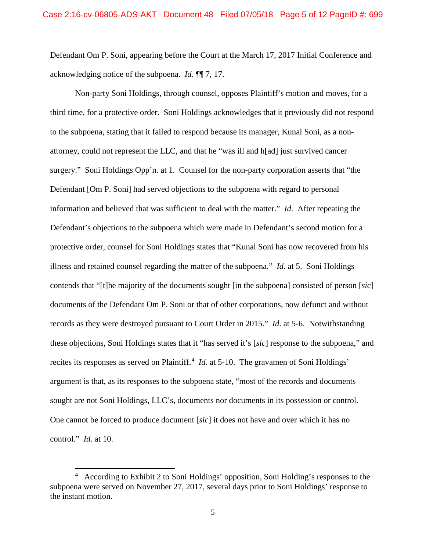Defendant Om P. Soni, appearing before the Court at the March 17, 2017 Initial Conference and acknowledging notice of the subpoena. *Id*. ¶¶ 7, 17.

Non-party Soni Holdings, through counsel, opposes Plaintiff's motion and moves, for a third time, for a protective order. Soni Holdings acknowledges that it previously did not respond to the subpoena, stating that it failed to respond because its manager, Kunal Soni, as a nonattorney, could not represent the LLC, and that he "was ill and h[ad] just survived cancer surgery." Soni Holdings Opp'n. at 1. Counsel for the non-party corporation asserts that "the Defendant [Om P. Soni] had served objections to the subpoena with regard to personal information and believed that was sufficient to deal with the matter." *Id*. After repeating the Defendant's objections to the subpoena which were made in Defendant's second motion for a protective order, counsel for Soni Holdings states that "Kunal Soni has now recovered from his illness and retained counsel regarding the matter of the subpoena." *Id*. at 5. Soni Holdings contends that "[t]he majority of the documents sought [in the subpoena] consisted of person [*sic*] documents of the Defendant Om P. Soni or that of other corporations, now defunct and without records as they were destroyed pursuant to Court Order in 2015." *Id*. at 5-6. Notwithstanding these objections, Soni Holdings states that it "has served it's [*sic*] response to the subpoena," and recites its responses as served on Plaintiff.<sup>[4](#page-4-0)</sup> *Id.* at 5-10. The gravamen of Soni Holdings' argument is that, as its responses to the subpoena state, "most of the records and documents sought are not Soni Holdings, LLC's, documents nor documents in its possession or control. One cannot be forced to produce document [*sic*] it does not have and over which it has no control." *Id*. at 10.

 $\overline{\phantom{a}}$ 

<span id="page-4-0"></span><sup>4</sup> According to Exhibit 2 to Soni Holdings' opposition, Soni Holding's responses to the subpoena were served on November 27, 2017, several days prior to Soni Holdings' response to the instant motion.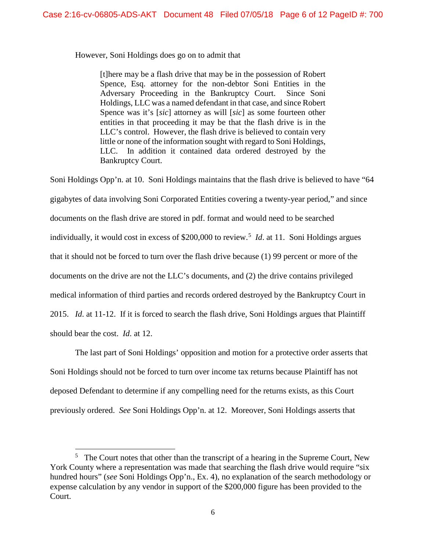However, Soni Holdings does go on to admit that

[t]here may be a flash drive that may be in the possession of Robert Spence, Esq. attorney for the non-debtor Soni Entities in the Adversary Proceeding in the Bankruptcy Court. Since Soni Holdings, LLC was a named defendant in that case, and since Robert Spence was it's [*sic*] attorney as will [*sic*] as some fourteen other entities in that proceeding it may be that the flash drive is in the LLC's control. However, the flash drive is believed to contain very little or none of the information sought with regard to Soni Holdings, LLC. In addition it contained data ordered destroyed by the Bankruptcy Court.

Soni Holdings Opp'n. at 10. Soni Holdings maintains that the flash drive is believed to have "64 gigabytes of data involving Soni Corporated Entities covering a twenty-year period," and since documents on the flash drive are stored in pdf. format and would need to be searched individually, it would cost in excess of \$200,000 to review.[5](#page-5-0) *Id*. at 11. Soni Holdings argues that it should not be forced to turn over the flash drive because (1) 99 percent or more of the documents on the drive are not the LLC's documents, and (2) the drive contains privileged medical information of third parties and records ordered destroyed by the Bankruptcy Court in 2015. *Id*. at 11-12. If it is forced to search the flash drive, Soni Holdings argues that Plaintiff should bear the cost. *Id*. at 12.

The last part of Soni Holdings' opposition and motion for a protective order asserts that Soni Holdings should not be forced to turn over income tax returns because Plaintiff has not deposed Defendant to determine if any compelling need for the returns exists, as this Court previously ordered. *See* Soni Holdings Opp'n. at 12. Moreover, Soni Holdings asserts that

 $\overline{a}$ 

<span id="page-5-0"></span> $5$  The Court notes that other than the transcript of a hearing in the Supreme Court, New York County where a representation was made that searching the flash drive would require "six" hundred hours" (*see* Soni Holdings Opp'n., Ex. 4), no explanation of the search methodology or expense calculation by any vendor in support of the \$200,000 figure has been provided to the Court.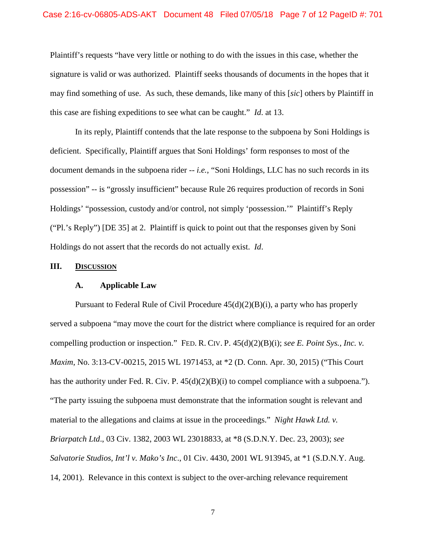### Case 2:16-cv-06805-ADS-AKT Document 48 Filed 07/05/18 Page 7 of 12 PageID #: 701

Plaintiff's requests "have very little or nothing to do with the issues in this case, whether the signature is valid or was authorized. Plaintiff seeks thousands of documents in the hopes that it may find something of use. As such, these demands, like many of this [*sic*] others by Plaintiff in this case are fishing expeditions to see what can be caught." *Id*. at 13.

In its reply, Plaintiff contends that the late response to the subpoena by Soni Holdings is deficient. Specifically, Plaintiff argues that Soni Holdings' form responses to most of the document demands in the subpoena rider -- *i.e.*, "Soni Holdings, LLC has no such records in its possession" -- is "grossly insufficient" because Rule 26 requires production of records in Soni Holdings' "possession, custody and/or control, not simply 'possession.'" Plaintiff's Reply ("Pl.'s Reply") [DE 35] at 2. Plaintiff is quick to point out that the responses given by Soni Holdings do not assert that the records do not actually exist. *Id*.

### **III. DISCUSSION**

#### **A. Applicable Law**

Pursuant to Federal Rule of Civil Procedure  $45(d)(2)(B)(i)$ , a party who has properly served a subpoena "may move the court for the district where compliance is required for an order compelling production or inspection." FED. R. CIV. P. 45(d)(2)(B)(i); *see E. Point Sys., Inc. v. Maxim*, No. 3:13-CV-00215, 2015 WL 1971453, at  $*2$  (D. Conn. Apr. 30, 2015) ("This Court has the authority under Fed. R. Civ. P. 45(d)(2)(B)(i) to compel compliance with a subpoena."). "The party issuing the subpoena must demonstrate that the information sought is relevant and material to the allegations and claims at issue in the proceedings." *Night Hawk Ltd. v. Briarpatch Ltd*., 03 Civ. 1382, 2003 WL 23018833, at \*8 (S.D.N.Y. Dec. 23, 2003); *see Salvatorie Studios, Int'l v. Mako's Inc*., 01 Civ. 4430, 2001 WL 913945, at \*1 (S.D.N.Y. Aug. 14, 2001). Relevance in this context is subject to the over-arching relevance requirement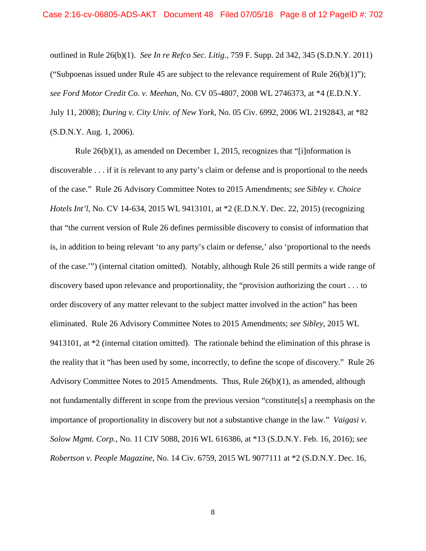outlined in Rule 26(b)(1). *See In re Refco Sec. Litig.*, 759 F. Supp. 2d 342, 345 (S.D.N.Y. 2011) ("Subpoenas issued under Rule 45 are subject to the relevance requirement of Rule  $26(b)(1)$ "); *see Ford Motor Credit Co. v. Meehan*, No. CV 05-4807, 2008 WL 2746373, at \*4 (E.D.N.Y. July 11, 2008); *During v. City Univ. of New York*, No. 05 Civ. 6992, 2006 WL 2192843, at \*82 (S.D.N.Y. Aug. 1, 2006).

Rule 26(b)(1), as amended on December 1, 2015, recognizes that "[i]nformation is discoverable . . . if it is relevant to any party's claim or defense and is proportional to the needs of the case." Rule 26 Advisory Committee Notes to 2015 Amendments; *see Sibley v. Choice Hotels Int'l*, No. CV 14-634, 2015 WL 9413101, at \*2 (E.D.N.Y. Dec. 22, 2015) (recognizing that "the current version of Rule 26 defines permissible discovery to consist of information that is, in addition to being relevant 'to any party's claim or defense,' also 'proportional to the needs of the case.'") (internal citation omitted). Notably, although Rule 26 still permits a wide range of discovery based upon relevance and proportionality, the "provision authorizing the court . . . to order discovery of any matter relevant to the subject matter involved in the action" has been eliminated. Rule 26 Advisory Committee Notes to 2015 Amendments; *see Sibley*, 2015 WL 9413101, at \*2 (internal citation omitted). The rationale behind the elimination of this phrase is the reality that it "has been used by some, incorrectly, to define the scope of discovery." Rule 26 Advisory Committee Notes to 2015 Amendments. Thus, Rule 26(b)(1), as amended, although not fundamentally different in scope from the previous version "constitute[s] a reemphasis on the importance of proportionality in discovery but not a substantive change in the law." *Vaigasi v. Solow Mgmt. Corp.*, No. 11 CIV 5088, 2016 WL 616386, at \*13 (S.D.N.Y. Feb. 16, 2016); *see Robertson v. People Magazine*, No. 14 Civ. 6759, 2015 WL 9077111 at \*2 (S.D.N.Y. Dec. 16,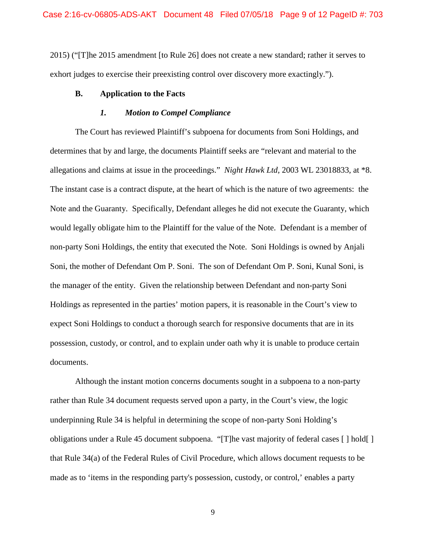2015) ("[T]he 2015 amendment [to Rule 26] does not create a new standard; rather it serves to exhort judges to exercise their preexisting control over discovery more exactingly.").

## **B. Application to the Facts**

### *1. Motion to Compel Compliance*

The Court has reviewed Plaintiff's subpoena for documents from Soni Holdings, and determines that by and large, the documents Plaintiff seeks are "relevant and material to the allegations and claims at issue in the proceedings." *Night Hawk Ltd*, 2003 WL 23018833, at \*8. The instant case is a contract dispute, at the heart of which is the nature of two agreements: the Note and the Guaranty. Specifically, Defendant alleges he did not execute the Guaranty, which would legally obligate him to the Plaintiff for the value of the Note. Defendant is a member of non-party Soni Holdings, the entity that executed the Note. Soni Holdings is owned by Anjali Soni, the mother of Defendant Om P. Soni. The son of Defendant Om P. Soni, Kunal Soni, is the manager of the entity. Given the relationship between Defendant and non-party Soni Holdings as represented in the parties' motion papers, it is reasonable in the Court's view to expect Soni Holdings to conduct a thorough search for responsive documents that are in its possession, custody, or control, and to explain under oath why it is unable to produce certain documents.

Although the instant motion concerns documents sought in a subpoena to a non-party rather than Rule 34 document requests served upon a party, in the Court's view, the logic underpinning Rule 34 is helpful in determining the scope of non-party Soni Holding's obligations under a Rule 45 document subpoena. "[T]he vast majority of federal cases [ ] hold[ ] that Rule 34(a) of the Federal Rules of Civil Procedure, which allows document requests to be made as to 'items in the responding party's possession, custody, or control,' enables a party

9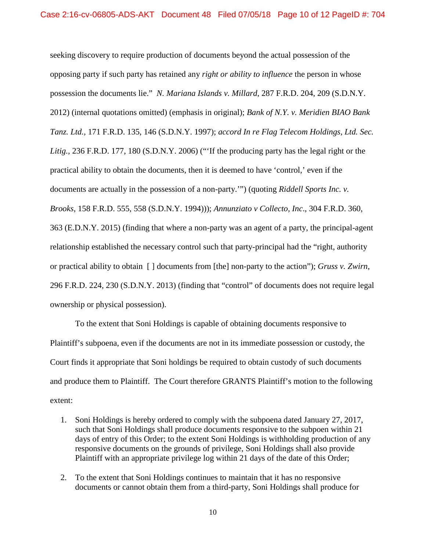seeking discovery to require production of documents beyond the actual possession of the opposing party if such party has retained any *right or ability to influence* the person in whose possession the documents lie." *N. Mariana Islands v. Millard*, 287 F.R.D. 204, 209 (S.D.N.Y. 2012) (internal quotations omitted) (emphasis in original); *Bank of N.Y. v. Meridien BIAO Bank Tanz. Ltd.,* 171 F.R.D. 135, 146 (S.D.N.Y. 1997); *accord In re Flag Telecom Holdings, Ltd. Sec. Litig.,* 236 F.R.D. 177, 180 (S.D.N.Y. 2006) ("'If the producing party has the legal right or the practical ability to obtain the documents, then it is deemed to have 'control,' even if the documents are actually in the possession of a non-party.'") (quoting *Riddell Sports Inc. v. Brooks,* 158 F.R.D. 555, 558 (S.D.N.Y. 1994))); *Annunziato v Collecto, Inc*., 304 F.R.D. 360, 363 (E.D.N.Y. 2015) (finding that where a non-party was an agent of a party, the principal-agent relationship established the necessary control such that party-principal had the "right, authority or practical ability to obtain [ ] documents from [the] non-party to the action"); *Gruss v. Zwirn*, 296 F.R.D. 224, 230 (S.D.N.Y. 2013) (finding that "control" of documents does not require legal ownership or physical possession).

To the extent that Soni Holdings is capable of obtaining documents responsive to Plaintiff's subpoena, even if the documents are not in its immediate possession or custody, the Court finds it appropriate that Soni holdings be required to obtain custody of such documents and produce them to Plaintiff. The Court therefore GRANTS Plaintiff's motion to the following extent:

- 1. Soni Holdings is hereby ordered to comply with the subpoena dated January 27, 2017, such that Soni Holdings shall produce documents responsive to the subpoen within 21 days of entry of this Order; to the extent Soni Holdings is withholding production of any responsive documents on the grounds of privilege, Soni Holdings shall also provide Plaintiff with an appropriate privilege log within 21 days of the date of this Order;
- 2. To the extent that Soni Holdings continues to maintain that it has no responsive documents or cannot obtain them from a third-party, Soni Holdings shall produce for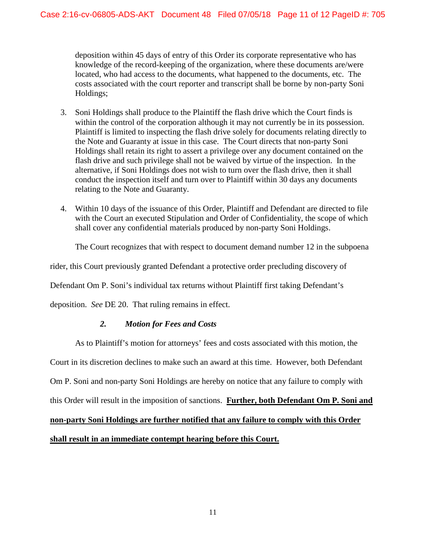deposition within 45 days of entry of this Order its corporate representative who has knowledge of the record-keeping of the organization, where these documents are/were located, who had access to the documents, what happened to the documents, etc. The costs associated with the court reporter and transcript shall be borne by non-party Soni Holdings;

- 3. Soni Holdings shall produce to the Plaintiff the flash drive which the Court finds is within the control of the corporation although it may not currently be in its possession. Plaintiff is limited to inspecting the flash drive solely for documents relating directly to the Note and Guaranty at issue in this case. The Court directs that non-party Soni Holdings shall retain its right to assert a privilege over any document contained on the flash drive and such privilege shall not be waived by virtue of the inspection. In the alternative, if Soni Holdings does not wish to turn over the flash drive, then it shall conduct the inspection itself and turn over to Plaintiff within 30 days any documents relating to the Note and Guaranty.
- 4. Within 10 days of the issuance of this Order, Plaintiff and Defendant are directed to file with the Court an executed Stipulation and Order of Confidentiality, the scope of which shall cover any confidential materials produced by non-party Soni Holdings.

The Court recognizes that with respect to document demand number 12 in the subpoena

rider, this Court previously granted Defendant a protective order precluding discovery of

Defendant Om P. Soni's individual tax returns without Plaintiff first taking Defendant's

deposition. *See* DE 20. That ruling remains in effect.

## *2. Motion for Fees and Costs*

As to Plaintiff's motion for attorneys' fees and costs associated with this motion, the

Court in its discretion declines to make such an award at this time. However, both Defendant

Om P. Soni and non-party Soni Holdings are hereby on notice that any failure to comply with

this Order will result in the imposition of sanctions. **Further, both Defendant Om P. Soni and** 

**non-party Soni Holdings are further notified that any failure to comply with this Order** 

**shall result in an immediate contempt hearing before this Court.**